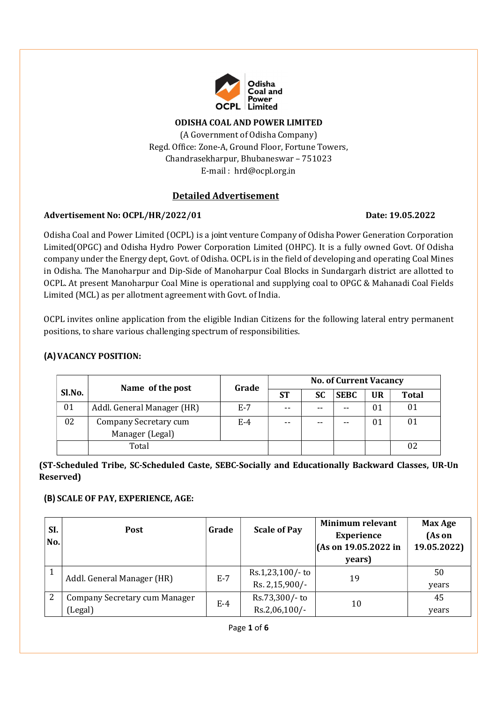

#### ODISHA COAL AND POWER LIMITED

(A Government of Odisha Company) Regd. Office: Zone-A, Ground Floor, Fortune Towers, Chandrasekharpur, Bhubaneswar – 751023 E-mail : hrd@ocpl.org.in

#### Detailed Advertisement

#### Advertisement No: OCPL/HR/2022/01 Date: 19.05.2022

Odisha Coal and Power Limited (OCPL) is a joint venture Company of Odisha Power Generation Corporation Limited (OPGC) and Odisha Hydro Power Corporation Limited (OHPC). It is a fully owned Govt. Of Odisha company under the Energy dept, Govt. of Odisha. OCPL is in the field of developing and operating Coal Mines in Odisha. The Manoharpur and Dip-Side of Manoharpur Coal Blocks in Sundargarh district are allotted to OCPL. At present Manoharpur Coal Mine is operational and supplying coal to OPGC & Mahanadi Coal Fields Limited (MCL) as per allotment agreement with Govt. of India.

OCPL invites online application from the eligible Indian Citizens for the following lateral entry permanent positions, to share various challenging spectrum of responsibilities.

### (A)VACANCY POSITION:

|        |                            | Grade | <b>No. of Current Vacancy</b> |       |             |           |              |
|--------|----------------------------|-------|-------------------------------|-------|-------------|-----------|--------------|
| Sl.No. | Name of the post           |       | <b>ST</b>                     | SC    | <b>SEBC</b> | <b>UR</b> | <b>Total</b> |
| 01     | Addl. General Manager (HR) | E-7   | $- -$                         | $- -$ | $- -$       | 01        | 01           |
| 02     | Company Secretary cum      | E-4   | $- -$                         | $- -$ | $- -$       | 01        | 01           |
|        | Manager (Legal)            |       |                               |       |             |           |              |
|        | Total                      |       |                               |       |             |           | 02           |

## (ST-Scheduled Tribe, SC-Scheduled Caste, SEBC-Socially and Educationally Backward Classes, UR-Un Reserved)

#### (B) SCALE OF PAY, EXPERIENCE, AGE:

| SI.<br>No. | <b>Post</b>                              | Grade | <b>Scale of Pay</b>                | <b>Minimum relevant</b><br><b>Experience</b><br>$ $ (As on 19.05.2022 in<br>years) | Max Age<br>(As on<br>19.05.2022) |
|------------|------------------------------------------|-------|------------------------------------|------------------------------------------------------------------------------------|----------------------------------|
|            | Addl. General Manager (HR)               | $E-7$ | Rs.1,23,100/- to<br>Rs. 2,15,900/- | 19                                                                                 | 50<br>years                      |
| 2          | Company Secretary cum Manager<br>(Legal) | $E-4$ | Rs.73,300/- to<br>$Rs.2,06,100/$ - | 10                                                                                 | 45<br>years                      |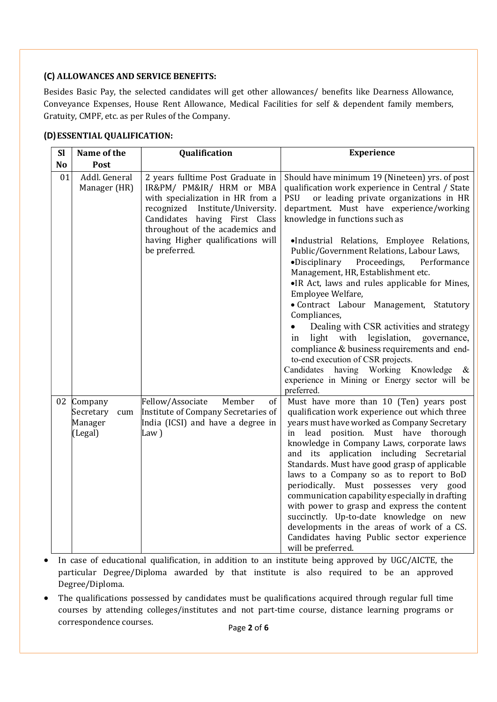# (C) ALLOWANCES AND SERVICE BENEFITS:

Besides Basic Pay, the selected candidates will get other allowances/ benefits like Dearness Allowance, Conveyance Expenses, House Rent Allowance, Medical Facilities for self & dependent family members, Gratuity, CMPF, etc. as per Rules of the Company.

# (D)ESSENTIAL QUALIFICATION:

| <b>Sl</b>      | Name of the                                       | Qualification                                                                                                                                                                                                                                                      | <b>Experience</b>                                                                                                                                                                                                                                                                                                                                                                                                                                                                                                                                                                                                                                                                                                                                                                                                                                    |
|----------------|---------------------------------------------------|--------------------------------------------------------------------------------------------------------------------------------------------------------------------------------------------------------------------------------------------------------------------|------------------------------------------------------------------------------------------------------------------------------------------------------------------------------------------------------------------------------------------------------------------------------------------------------------------------------------------------------------------------------------------------------------------------------------------------------------------------------------------------------------------------------------------------------------------------------------------------------------------------------------------------------------------------------------------------------------------------------------------------------------------------------------------------------------------------------------------------------|
| N <sub>o</sub> | Post                                              |                                                                                                                                                                                                                                                                    |                                                                                                                                                                                                                                                                                                                                                                                                                                                                                                                                                                                                                                                                                                                                                                                                                                                      |
| 01             | Addl. General<br>Manager (HR)                     | 2 years fulltime Post Graduate in<br>IR&PM/ PM&IR/ HRM or MBA<br>with specialization in HR from a<br>recognized<br>Institute/University.<br>Candidates having First Class<br>throughout of the academics and<br>having Higher qualifications will<br>be preferred. | Should have minimum 19 (Nineteen) yrs. of post<br>qualification work experience in Central / State<br>PSU<br>or leading private organizations in HR<br>department. Must have experience/working<br>knowledge in functions such as<br>·Industrial Relations, Employee Relations,<br>Public/Government Relations, Labour Laws,<br>$\bullet$ Disciplinary<br>Proceedings,<br>Performance<br>Management, HR, Establishment etc.<br>•IR Act, laws and rules applicable for Mines,<br>Employee Welfare,<br>· Contract Labour Management, Statutory<br>Compliances,<br>Dealing with CSR activities and strategy<br>light with legislation, governance,<br>1n<br>compliance & business requirements and end-<br>to-end execution of CSR projects.<br>having Working Knowledge &<br>Candidates<br>experience in Mining or Energy sector will be<br>preferred. |
| 02             | Company<br>Secretary<br>cum<br>Manager<br>(Legal) | Fellow/Associate<br>Member<br>of<br>Institute of Company Secretaries of<br>India (ICSI) and have a degree in<br>Law)                                                                                                                                               | Must have more than 10 (Ten) years post<br>qualification work experience out which three<br>years must have worked as Company Secretary<br>in lead position. Must have thorough<br>knowledge in Company Laws, corporate laws<br>and its application including Secretarial<br>Standards. Must have good grasp of applicable<br>laws to a Company so as to report to BoD<br>periodically. Must possesses very good<br>communication capability especially in drafting<br>with power to grasp and express the content<br>succinctly. Up-to-date knowledge on new<br>developments in the areas of work of a CS.<br>Candidates having Public sector experience<br>will be preferred.                                                                                                                                                                      |

- In case of educational qualification, in addition to an institute being approved by UGC/AICTE, the particular Degree/Diploma awarded by that institute is also required to be an approved Degree/Diploma.
- The qualifications possessed by candidates must be qualifications acquired through regular full time courses by attending colleges/institutes and not part-time course, distance learning programs or correspondence courses.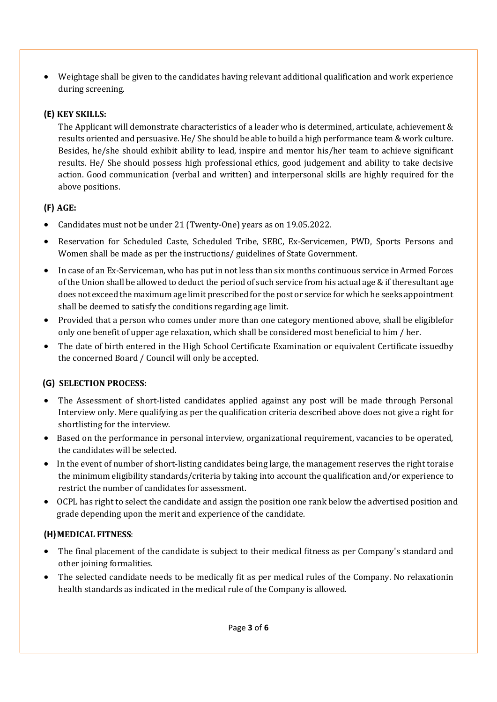Weightage shall be given to the candidates having relevant additional qualification and work experience during screening.

# (E) KEY SKILLS:

The Applicant will demonstrate characteristics of a leader who is determined, articulate, achievement & results oriented and persuasive. He/ She should be able to build a high performance team & work culture. Besides, he/she should exhibit ability to lead, inspire and mentor his/her team to achieve significant results. He/ She should possess high professional ethics, good judgement and ability to take decisive action. Good communication (verbal and written) and interpersonal skills are highly required for the above positions.

# (F) AGE:

- Candidates must not be under 21 (Twenty-One) years as on 19.05.2022.
- Reservation for Scheduled Caste, Scheduled Tribe, SEBC, Ex-Servicemen, PWD, Sports Persons and Women shall be made as per the instructions/ guidelines of State Government.
- In case of an Ex-Serviceman, who has put in not less than six months continuous service in Armed Forces of the Union shall be allowed to deduct the period of such service from his actual age  $\&$  if the resultant age does not exceed the maximum age limit prescribed for the post or service for which he seeks appointment shall be deemed to satisfy the conditions regarding age limit.
- Provided that a person who comes under more than one category mentioned above, shall be eligible for only one benefit of upper age relaxation, which shall be considered most beneficial to him / her.
- The date of birth entered in the High School Certificate Examination or equivalent Certificate issued by the concerned Board / Council will only be accepted.

# (G) SELECTION PROCESS:

- The Assessment of short-listed candidates applied against any post will be made through Personal Interview only. Mere qualifying as per the qualification criteria described above does not give a right for shortlisting for the interview.
- Based on the performance in personal interview, organizational requirement, vacancies to be operated, the candidates will be selected.
- In the event of number of short-listing candidates being large, the management reserves the right toraise the minimum eligibility standards/criteria by taking into account the qualification and/or experience to restrict the number of candidates for assessment.
- OCPL has right to select the candidate and assign the position one rank below the advertised position and grade depending upon the merit and experience of the candidate.

# (H)MEDICAL FITNESS:

- The final placement of the candidate is subject to their medical fitness as per Company's standard and other joining formalities.
- The selected candidate needs to be medically fit as per medical rules of the Company. No relaxation in health standards as indicated in the medical rule of the Company is allowed.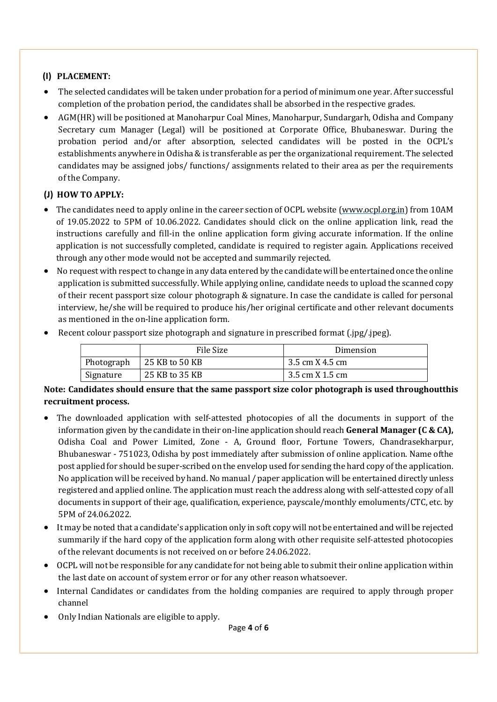# (I) PLACEMENT:

- The selected candidates will be taken under probation for a period of minimum one year. After successful completion of the probation period, the candidates shall be absorbed in the respective grades.
- AGM(HR) will be positioned at Manoharpur Coal Mines, Manoharpur, Sundargarh, Odisha and Company Secretary cum Manager (Legal) will be positioned at Corporate Office, Bhubaneswar. During the probation period and/or after absorption, selected candidates will be posted in the OCPL's establishments anywhere in Odisha & is transferable as per the organizational requirement. The selected candidates may be assigned jobs/ functions/ assignments related to their area as per the requirements of the Company.

# (J) HOW TO APPLY:

- The candidates need to apply online in the career section of OCPL website (www.ocpl.org.in) from 10AM of 19.05.2022 to 5PM of 10.06.2022. Candidates should click on the online application link, read the instructions carefully and fill-in the online application form giving accurate information. If the online application is not successfully completed, candidate is required to register again. Applications received through any other mode would not be accepted and summarily rejected.
- No request with respect to change in any data entered by the candidate will be entertained once the online application is submitted successfully. While applying online, candidate needs to upload the scanned copy of their recent passport size colour photograph & signature. In case the candidate is called for personal interview, he/she will be required to produce his/her original certificate and other relevant documents as mentioned in the on-line application form.
- Recent colour passport size photograph and signature in prescribed format (.jpg/.jpeg).

|            | File Size      | Dimension       |
|------------|----------------|-----------------|
| Photograph | 25 KB to 50 KB | 3.5 cm X 4.5 cm |
| Signature  | 25 KB to 35 KB | 3.5 cm X 1.5 cm |

#### Note: Candidates should ensure that the same passport size color photograph is used throughout this recruitment process.

- The downloaded application with self-attested photocopies of all the documents in support of the information given by the candidate in their on-line application should reach **General Manager (C & CA)**, Odisha Coal and Power Limited, Zone - A, Ground floor, Fortune Towers, Chandrasekharpur, Bhubaneswar - 751023, Odisha by post immediately after submission of online application. Name of the post applied for should be super-scribed on the envelop used for sending the hard copy of the application. No application will be received by hand. No manual / paper application will be entertained directly unless registered and applied online. The application must reach the address along with self-attested copy of all documents in support of their age, qualification, experience, payscale/monthly emoluments/CTC, etc. by 5PM of 24.06.2022.
- It may be noted that a candidate's application only in soft copy will not be entertained and will be rejected summarily if the hard copy of the application form along with other requisite self-attested photocopies of the relevant documents is not received on or before 24.06.2022.
- OCPL will not be responsible for any candidate for not being able to submit their online application within the last date on account of system error or for any other reason whatsoever.
- Internal Candidates or candidates from the holding companies are required to apply through proper channel
- Only Indian Nationals are eligible to apply.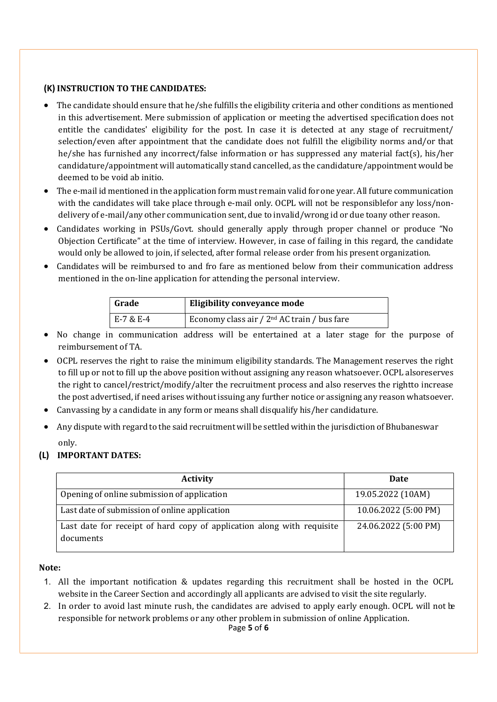### (K) INSTRUCTION TO THE CANDIDATES:

- The candidate should ensure that he/she fulfills the eligibility criteria and other conditions as mentioned in this advertisement. Mere submission of application or meeting the advertised specification does not entitle the candidates' eligibility for the post. In case it is detected at any stage of recruitment/ selection/even after appointment that the candidate does not fulfill the eligibility norms and/or that he/she has furnished any incorrect/false information or has suppressed any material fact(s), his/her candidature/appointment will automatically stand cancelled, as the candidature/appointment would be deemed to be void ab initio.
- The e-mail id mentioned in the application form must remain valid for one year. All future communication with the candidates will take place through e-mail only. OCPL will not be responsible for any loss/nondelivery of e-mail/any other communication sent, due to invalid/wrong id or due to any other reason.
- Candidates working in PSUs/Govt. should generally apply through proper channel or produce "No Objection Certificate" at the time of interview. However, in case of failing in this regard, the candidate would only be allowed to join, if selected, after formal release order from his present organization.
- Candidates will be reimbursed to and fro fare as mentioned below from their communication address mentioned in the on-line application for attending the personal interview.

| Grade     | <b>Eligibility conveyance mode</b>                      |
|-----------|---------------------------------------------------------|
| E-7 & E-4 | Economy class air / 2 <sup>nd</sup> AC train / bus fare |

- No change in communication address will be entertained at a later stage for the purpose of reimbursement of TA.
- OCPL reserves the right to raise the minimum eligibility standards. The Management reserves the right to fill up or not to fill up the above position without assigning any reason whatsoever. OCPL also reserves the right to cancel/restrict/modify/alter the recruitment process and also reserves the rightto increase the post advertised, if need arises without issuing any further notice or assigning any reason whatsoever.
- Canvassing by a candidate in any form or means shall disqualify his/her candidature.
- Any dispute with regard to the said recruitment will be settled within the jurisdiction of Bhubaneswar only.

## (L) IMPORTANT DATES:

| <b>Activity</b>                                                                     | <b>Date</b>          |
|-------------------------------------------------------------------------------------|----------------------|
| Opening of online submission of application                                         | 19.05.2022 (10AM)    |
| Last date of submission of online application                                       | 10.06.2022 (5:00 PM) |
| Last date for receipt of hard copy of application along with requisite<br>documents | 24.06.2022 (5:00 PM) |

#### Note:

- 1. All the important notification & updates regarding this recruitment shall be hosted in the OCPL website in the Career Section and accordingly all applicants are advised to visit the site regularly.
- 2. In order to avoid last minute rush, the candidates are advised to apply early enough. OCPL will not be responsible for network problems or any other problem in submission of online Application.